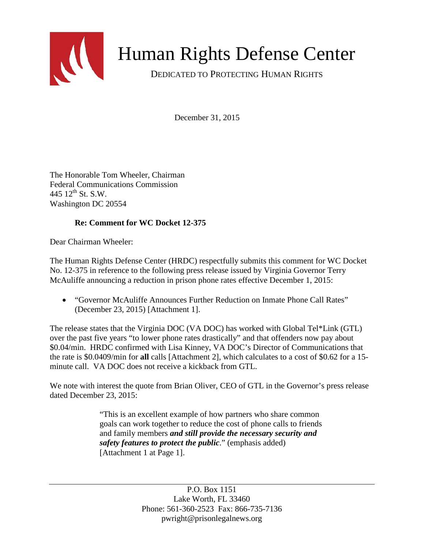

## Human Rights Defense Center

DEDICATED TO PROTECTING HUMAN RIGHTS

December 31, 2015

The Honorable Tom Wheeler, Chairman Federal Communications Commission 445  $12^{th}$  St. S.W. Washington DC 20554

## **Re: Comment for WC Docket 12-375**

Dear Chairman Wheeler:

The Human Rights Defense Center (HRDC) respectfully submits this comment for WC Docket No. 12-375 in reference to the following press release issued by Virginia Governor Terry McAuliffe announcing a reduction in prison phone rates effective December 1, 2015:

• "Governor McAuliffe Announces Further Reduction on Inmate Phone Call Rates" (December 23, 2015) [Attachment 1].

The release states that the Virginia DOC (VA DOC) has worked with Global Tel\*Link (GTL) over the past five years "to lower phone rates drastically" and that offenders now pay about \$0.04/min. HRDC confirmed with Lisa Kinney, VA DOC's Director of Communications that the rate is \$0.0409/min for **all** calls [Attachment 2], which calculates to a cost of \$0.62 for a 15 minute call. VA DOC does not receive a kickback from GTL.

We note with interest the quote from Brian Oliver, CEO of GTL in the Governor's press release dated December 23, 2015:

> "This is an excellent example of how partners who share common goals can work together to reduce the cost of phone calls to friends and family members *and still provide the necessary security and safety features to protect the public*." (emphasis added) [Attachment 1 at Page 1].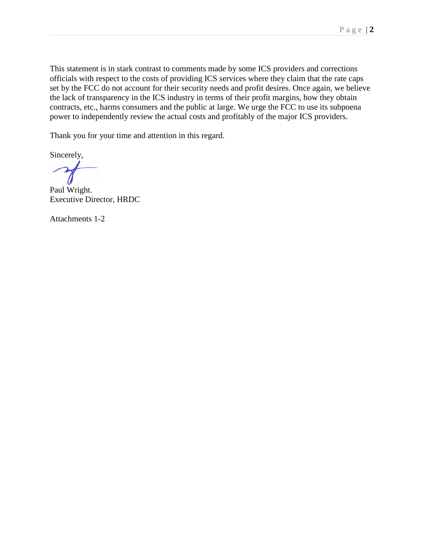This statement is in stark contrast to comments made by some ICS providers and corrections officials with respect to the costs of providing ICS services where they claim that the rate caps set by the FCC do not account for their security needs and profit desires. Once again, we believe the lack of transparency in the ICS industry in terms of their profit margins, how they obtain contracts, etc., harms consumers and the public at large. We urge the FCC to use its subpoena power to independently review the actual costs and profitably of the major ICS providers.

Thank you for your time and attention in this regard.

Sincerely,

Paul Wright. Executive Director, HRDC

Attachments 1-2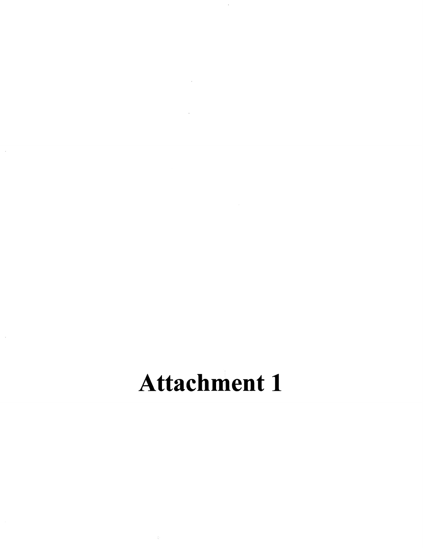# **Attachment 1**

 $\hat{\zeta}$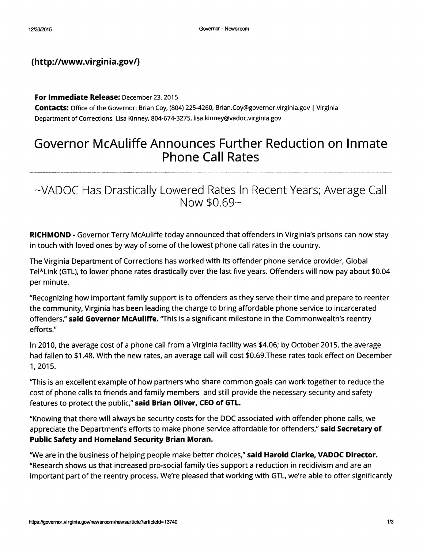### (http://www.virginia.gov/)

For Immediate Release: December 23, 2015

Contacts: Office of the Governor: Brian Coy, (804) 225-4260, Brian.Coy@governor.virginia.gov | Virginia Department of Corrections, Lisa Kinney, 804-674-3275, lisa.kinney@vadoc.virginia.gov

## Governor McAuliffe Announces Further Reduction on Inmate **Phone Call Rates**

~VADOC Has Drastically Lowered Rates In Recent Years; Average Call Now \$0.69~

**RICHMOND - Governor Terry McAuliffe today announced that offenders in Virginia's prisons can now stay** in touch with loved ones by way of some of the lowest phone call rates in the country.

The Virginia Department of Corrections has worked with its offender phone service provider, Global Tel\*Link (GTL), to lower phone rates drastically over the last five years. Offenders will now pay about \$0.04 per minute.

"Recognizing how important family support is to offenders as they serve their time and prepare to reenter the community, Virginia has been leading the charge to bring affordable phone service to incarcerated offenders," said Governor McAuliffe. "This is a significant milestone in the Commonwealth's reentry efforts."

In 2010, the average cost of a phone call from a Virginia facility was \$4.06; by October 2015, the average had fallen to \$1.48. With the new rates, an average call will cost \$0.69. These rates took effect on December 1,2015.

"This is an excellent example of how partners who share common goals can work together to reduce the cost of phone calls to friends and family members and still provide the necessary security and safety features to protect the public," said Brian Oliver, CEO of GTL.

"Knowing that there will always be security costs for the DOC associated with offender phone calls, we appreciate the Department's efforts to make phone service affordable for offenders," said Secretary of Public Safety and Homeland Security Brian Moran.

"We are in the business of helping people make better choices," said Harold Clarke, VADOC Director. "Research shows us that increased pro-social family ties support a reduction in recidivism and are an important part of the reentry process. We're pleased that working with GTL, we're able to offer significantly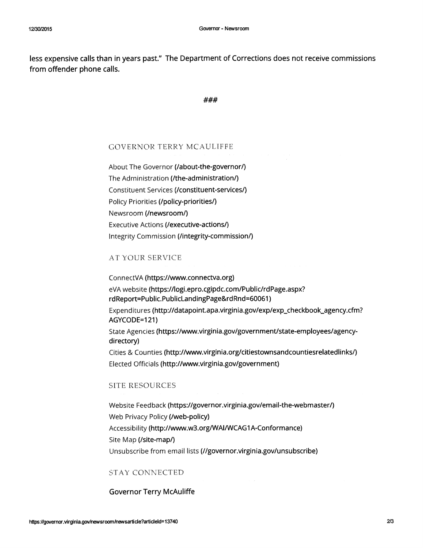less expensive calls than in years past." The Department of Corrections does not receive commissions from offender phone calls.

#### ###

#### **GOVERNOR TERRY MCAULIFFE**

About The Governor (/about-the-governor/) The Administration (/the-administration/) Constituent Services (/constituent-services/) Policy Priorities (/policy-priorities/) Newsroom (/newsroom/) **Executive Actions (/executive-actions/)** Integrity Commission (/integrity-commission/)

#### **AT YOUR SERVICE**

ConnectVA (https://www.connectva.org)

eVA website (https://logi.epro.cgipdc.com/Public/rdPage.aspx? rdReport=Public.PublicLandingPage&rdRnd=60061)

Expenditures (http://datapoint.apa.virginia.gov/exp/exp\_checkbook\_agency.cfm? AGYCODE=121)

State Agencies (https://www.virginia.gov/government/state-employees/agencydirectory)

Cities & Counties (http://www.virginia.org/citiestownsandcountiesrelatedlinks/) Elected Officials (http://www.virginia.gov/government)

#### **SITE RESOURCES**

Website Feedback (https://governor.virginia.gov/email-the-webmaster/) Web Privacy Policy (/web-policy) Accessibility (http://www.w3.org/WAI/WCAG1A-Conformance) Site Map (/site-map/) Unsubscribe from email lists (//governor.virginia.gov/unsubscribe)

#### **STAY CONNECTED**

#### **Governor Terry McAuliffe**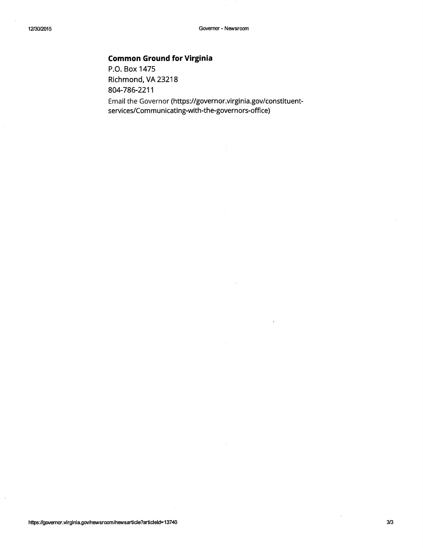## **Common Ground for Virginia**

P.O. Box 1475 Richmond, VA 23218 804-786-2211 Email the Governor (https://governor.virginia.gov/constituent-

services/Communicating-with-the-governors-office)

 $\ddot{\phantom{1}}$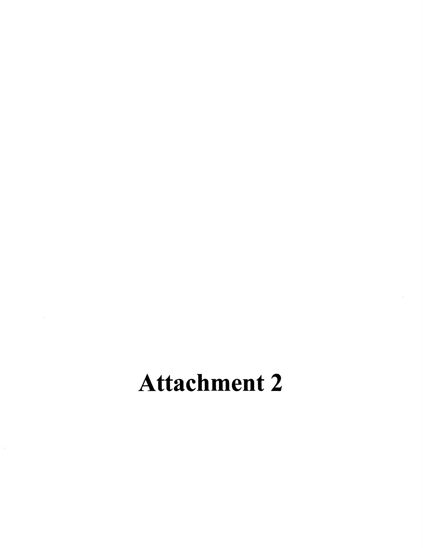## **Attachment 2**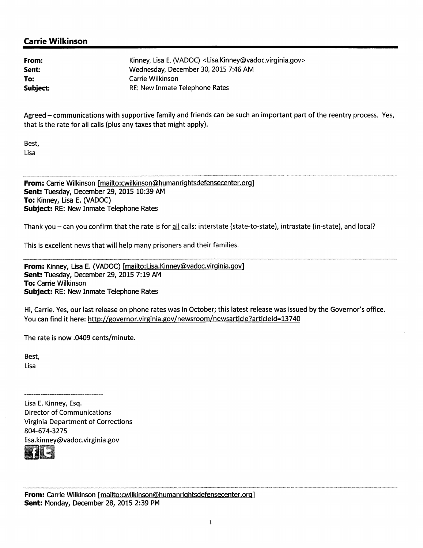### **Carrie Wilkinson**

| From:    | Kinney, Lisa E. (VADOC) <lisa.kinney@vadoc.virginia.gov></lisa.kinney@vadoc.virginia.gov> |
|----------|-------------------------------------------------------------------------------------------|
| Sent:    | Wednesday, December 30, 2015 7:46 AM                                                      |
| To:      | Carrie Wilkinson                                                                          |
| Subject: | <b>RE: New Inmate Telephone Rates</b>                                                     |

Agreed – communications with supportive family and friends can be such an important part of the reentry process. Yes, that is the rate for all calls (plus any taxes that might apply).

Best, Lisa

From: Carrie Wilkinson [mailto:cwilkinson@humanrightsdefensecenter.org] Sent: Tuesday, December 29, 2015 10:39 AM To: Kinney, Lisa E. (VADOC) Subject: RE: New Inmate Telephone Rates

Thank you – can you confirm that the rate is for all calls: interstate (state-to-state), intrastate (in-state), and local?

This is excellent news that will help many prisoners and their families.

From: Kinney, Lisa E. (VADOC) [mailto:Lisa.Kinney@vadoc.virginia.gov] Sent: Tuesday, December 29, 2015 7:19 AM **To: Carrie Wilkinson** Subject: RE: New Inmate Telephone Rates

Hi, Carrie. Yes, our last release on phone rates was in October; this latest release was issued by the Governor's office. You can find it here: http://governor.virginia.gov/newsroom/newsarticle?articleId=13740

The rate is now .0409 cents/minute.

Best, Lisa

------------------------------------

Lisa E. Kinney, Esq. **Director of Communications Virginia Department of Corrections** 804-674-3275 lisa.kinney@vadoc.virginia.gov